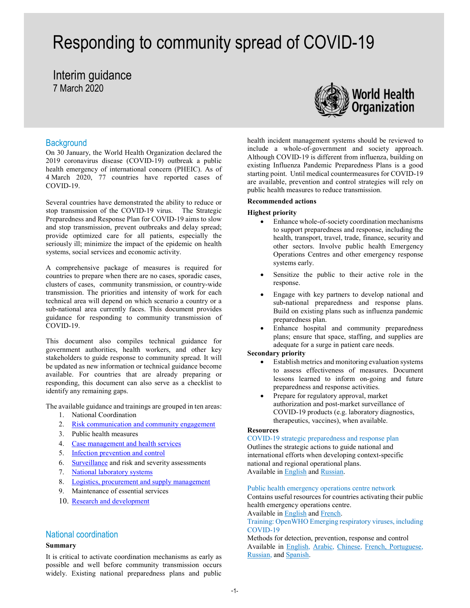# Responding to community spread of COVID-19

Interim guidance 7 March 2020



## **Background**

On 30 January, the World Health Organization declared the 2019 coronavirus disease (COVID-19) outbreak a public health emergency of international concern (PHEIC). As of 4 March 2020, 77 countries have reported cases of COVID-19.

Several countries have demonstrated the ability to reduce or stop transmission of the COVID-19 virus. The Strategic Preparedness and Response Plan for COVID-19 aims to slow and stop transmission, prevent outbreaks and delay spread; provide optimized care for all patients, especially the seriously ill; minimize the impact of the epidemic on health systems, social services and economic activity.

A comprehensive package of measures is required for countries to prepare when there are no cases, sporadic cases, clusters of cases, community transmission, or country-wide transmission. The priorities and intensity of work for each technical area will depend on which scenario a country or a sub-national area currently faces. This document provides guidance for responding to community transmission of COVID-19.

This document also compiles technical guidance for government authorities, health workers, and other key stakeholders to guide response to community spread. It will be updated as new information or technical guidance become available. For countries that are already preparing or responding, this document can also serve as a checklist to identify any remaining gaps.

The available guidance and trainings are grouped in ten areas:

- 1. National Coordination
- 2. Risk communication and community engagement
- 3. Public health measures
- 4. Case management and health services
- 5. Infection prevention and control
- 6. Surveillance and risk and severity assessments
- 7. National laboratory systems
- 8. Logistics, procurement and supply management
- 9. Maintenance of essential services
- 10. Research and development

# National coordination

## Summary

It is critical to activate coordination mechanisms as early as possible and well before community transmission occurs widely. Existing national preparedness plans and public

health incident management systems should be reviewed to include a whole-of-government and society approach. Although COVID-19 is different from influenza, building on existing Influenza Pandemic Preparedness Plans is a good starting point. Until medical countermeasures for COVID-19 are available, prevention and control strategies will rely on public health measures to reduce transmission.

## Recommended actions

#### Highest priority

- Enhance whole-of-society coordination mechanisms to support preparedness and response, including the health, transport, travel, trade, finance, security and other sectors. Involve public health Emergency Operations Centres and other emergency response systems early.
- Sensitize the public to their active role in the response.
- Engage with key partners to develop national and sub-national preparedness and response plans. Build on existing plans such as influenza pandemic preparedness plan.
- Enhance hospital and community preparedness plans; ensure that space, staffing, and supplies are adequate for a surge in patient care needs.

#### Secondary priority

- Establish metrics and monitoring evaluation systems to assess effectiveness of measures. Document lessons learned to inform on-going and future preparedness and response activities.
- Prepare for regulatory approval, market authorization and post-market surveillance of COVID-19 products (e.g. laboratory diagnostics, therapeutics, vaccines), when available.

## **Resources**

COVID-19 strategic preparedness and response plan Outlines the strategic actions to guide national and international efforts when developing context-specific national and regional operational plans. Available in English and Russian.

#### Public health emergency operations centre network

Contains useful resources for countries activating their public health emergency operations centre. Available in English and French.

Training: OpenWHO Emerging respiratory viruses, including

COVID-19

Methods for detection, prevention, response and control Available in English, Arabic, Chinese, French, Portuguese, Russian, and Spanish.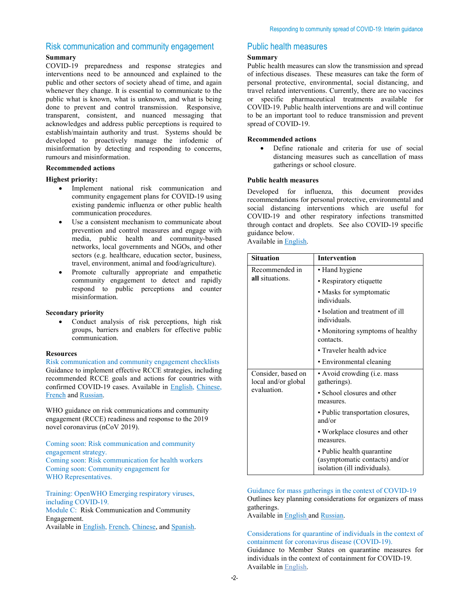# Risk communication and community engagement

# Summary

COVID-19 preparedness and response strategies and interventions need to be announced and explained to the public and other sectors of society ahead of time, and again whenever they change. It is essential to communicate to the public what is known, what is unknown, and what is being done to prevent and control transmission. Responsive, transparent, consistent, and nuanced messaging that acknowledges and address public perceptions is required to establish/maintain authority and trust. Systems should be developed to proactively manage the infodemic of misinformation by detecting and responding to concerns, rumours and misinformation.

## Recommended actions

## Highest priority:

- Implement national risk communication and community engagement plans for COVID-19 using existing pandemic influenza or other public health communication procedures.
- Use a consistent mechanism to communicate about prevention and control measures and engage with media, public health and community-based networks, local governments and NGOs, and other sectors (e.g. healthcare, education sector, business, travel, environment, animal and food/agriculture).
- Promote culturally appropriate and empathetic community engagement to detect and rapidly respond to public perceptions and counter misinformation.

#### Secondary priority

 Conduct analysis of risk perceptions, high risk groups, barriers and enablers for effective public communication.

## Resources

Risk communication and community engagement checklists Guidance to implement effective RCCE strategies, including recommended RCCE goals and actions for countries with confirmed COVID-19 cases. Available in English, Chinese, French and Russian.

WHO guidance on risk communications and community engagement (RCCE) readiness and response to the 2019 novel coronavirus (nCoV 2019).

Coming soon: Risk communication and community engagement strategy. Coming soon: Risk communication for health workers Coming soon: Community engagement for WHO Representatives.

Training: OpenWHO Emerging respiratory viruses, including COVID-19. Module C: Risk Communication and Community Engagement.

Available in English, French, Chinese, and Spanish.

## Public health measures

## Summary

Public health measures can slow the transmission and spread of infectious diseases. These measures can take the form of personal protective, environmental, social distancing, and travel related interventions. Currently, there are no vaccines or specific pharmaceutical treatments available for COVID-19. Public health interventions are and will continue to be an important tool to reduce transmission and prevent spread of COVID-19.

## Recommended actions

 Define rationale and criteria for use of social distancing measures such as cancellation of mass gatherings or school closure.

## Public health measures

Developed for influenza, this document provides recommendations for personal protective, environmental and social distancing interventions which are useful for COVID-19 and other respiratory infections transmitted through contact and droplets. See also COVID-19 specific guidance below.

Available in English.

| <b>Situation</b>                                         | <b>Intervention</b>                                                                          |
|----------------------------------------------------------|----------------------------------------------------------------------------------------------|
| Recommended in<br>all situations.                        | • Hand hygiene                                                                               |
|                                                          | • Respiratory etiquette                                                                      |
|                                                          | • Masks for symptomatic<br>individuals                                                       |
|                                                          | • Isolation and treatment of ill<br>individuals.                                             |
|                                                          | • Monitoring symptoms of healthy<br>contacts.                                                |
|                                                          | • Traveler health advice                                                                     |
|                                                          | • Environmental cleaning                                                                     |
| Consider, based on<br>local and/or global<br>evaluation. | • Avoid crowding (i.e. mass<br>gatherings).                                                  |
|                                                          | • School closures and other<br>measures.                                                     |
|                                                          | • Public transportation closures,<br>and/or                                                  |
|                                                          | • Workplace closures and other<br>measures.                                                  |
|                                                          | • Public health quarantine<br>(asymptomatic contacts) and/or<br>isolation (ill individuals). |

Guidance for mass gatherings in the context of COVID-19 Outlines key planning considerations for organizers of mass gatherings.

Available in English and Russian.

## Considerations for quarantine of individuals in the context of containment for coronavirus disease (COVID-19).

Guidance to Member States on quarantine measures for individuals in the context of containment for COVID-19. Available in English.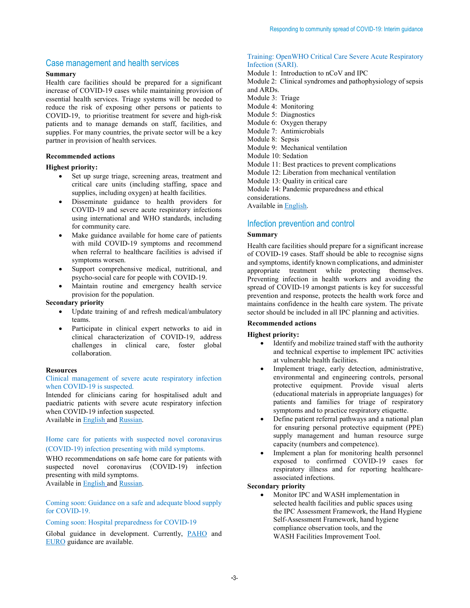## Case management and health services

## Summary

Health care facilities should be prepared for a significant increase of COVID-19 cases while maintaining provision of essential health services. Triage systems will be needed to reduce the risk of exposing other persons or patients to COVID-19, to prioritise treatment for severe and high-risk patients and to manage demands on staff, facilities, and supplies. For many countries, the private sector will be a key partner in provision of health services.

## Recommended actions

#### Highest priority:

- Set up surge triage, screening areas, treatment and critical care units (including staffing, space and supplies, including oxygen) at health facilities.
- Disseminate guidance to health providers for COVID-19 and severe acute respiratory infections using international and WHO standards, including for community care.
- Make guidance available for home care of patients with mild COVID-19 symptoms and recommend when referral to healthcare facilities is advised if symptoms worsen.
- Support comprehensive medical, nutritional, and psycho-social care for people with COVID-19.
- Maintain routine and emergency health service provision for the population.

## Secondary priority

- Update training of and refresh medical/ambulatory teams.
- Participate in clinical expert networks to aid in clinical characterization of COVID-19, address challenges in clinical care, foster global collaboration.

#### Resources

#### Clinical management of severe acute respiratory infection when COVID-19 is suspected.

Intended for clinicians caring for hospitalised adult and paediatric patients with severe acute respiratory infection when COVID-19 infection suspected. Available in English and Russian.

## Home care for patients with suspected novel coronavirus (COVID-19) infection presenting with mild symptoms.

WHO recommendations on safe home care for patients with suspected novel coronavirus (COVID-19) infection presenting with mild symptoms. Available in English and Russian.

## Coming soon: Guidance on a safe and adequate blood supply for COVID-19.

#### Coming soon: Hospital preparedness for COVID-19

Global guidance in development. Currently, PAHO and EURO guidance are available.

## Training: OpenWHO Critical Care Severe Acute Respiratory Infection (SARI).

Module 1: Introduction to nCoV and IPC

- Module 2: Clinical syndromes and pathophysiology of sepsis and ARDs.
- Module 3: Triage
- Module 4: Monitoring
- Module 5: Diagnostics
- Module 6: Oxygen therapy
- Module 7: Antimicrobials
- Module 8: Sepsis
- Module 9: Mechanical ventilation
- Module 10: Sedation

Module 11: Best practices to prevent complications

- Module 12: Liberation from mechanical ventilation
- Module 13: Quality in critical care

Module 14: Pandemic preparedness and ethical

considerations.

Available in English.

## Infection prevention and control

## Summary

Health care facilities should prepare for a significant increase of COVID-19 cases. Staff should be able to recognise signs and symptoms, identify known complications, and administer appropriate treatment while protecting themselves. Preventing infection in health workers and avoiding the spread of COVID-19 amongst patients is key for successful prevention and response, protects the health work force and maintains confidence in the health care system. The private sector should be included in all IPC planning and activities.

## Recommended actions

## Highest priority:

- Identify and mobilize trained staff with the authority and technical expertise to implement IPC activities at vulnerable health facilities.
- Implement triage, early detection, administrative, environmental and engineering controls, personal protective equipment. Provide visual alerts (educational materials in appropriate languages) for patients and families for triage of respiratory symptoms and to practice respiratory etiquette.
- Define patient referral pathways and a national plan for ensuring personal protective equipment (PPE) supply management and human resource surge capacity (numbers and competence).
- Implement a plan for monitoring health personnel exposed to confirmed COVID-19 cases for respiratory illness and for reporting healthcareassociated infections.

## Secondary priority

 Monitor IPC and WASH implementation in selected health facilities and public spaces using the IPC Assessment Framework, the Hand Hygiene Self-Assessment Framework, hand hygiene compliance observation tools, and the WASH Facilities Improvement Tool.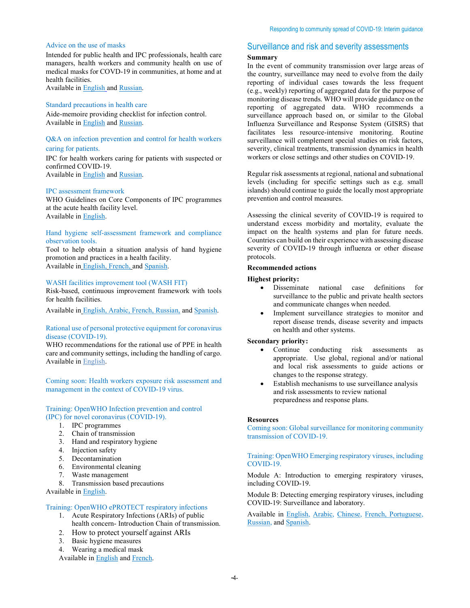#### Advice on the use of masks

Intended for public health and IPC professionals, health care managers, health workers and community health on use of medical masks for COVD-19 in communities, at home and at health facilities.

Available in English and Russian.

## Standard precautions in health care

Aide-memoire providing checklist for infection control. Available in English and Russian.

## Q&A on infection prevention and control for health workers caring for patients.

IPC for health workers caring for patients with suspected or confirmed COVID-19. Available in English and Russian.

#### IPC assessment framework

WHO Guidelines on Core Components of IPC programmes at the acute health facility level. Available in English.

## Hand hygiene self-assessment framework and compliance observation tools.

Tool to help obtain a situation analysis of hand hygiene promotion and practices in a health facility. Available in English, French, and Spanish.

## WASH facilities improvement tool (WASH FIT)

Risk-based, continuous improvement framework with tools for health facilities.

Available in English, Arabic, French, Russian, and Spanish.

## Rational use of personal protective equipment for coronavirus disease (COVID-19).

WHO recommendations for the rational use of PPE in health care and community settings, including the handling of cargo. Available in English.

Coming soon: Health workers exposure risk assessment and management in the context of COVID-19 virus.

## Training: OpenWHO Infection prevention and control (IPC) for novel coronavirus (COVID-19).

- 1. IPC programmes
- 2. Chain of transmission
- 3. Hand and respiratory hygiene
- 4. Injection safety
- 5. Decontamination
- 6. Environmental cleaning
- 7. Waste management
- 8. Transmission based precautions

Available in English.

## Training: OpenWHO ePROTECT respiratory infections

- 1. Acute Respiratory Infections (ARIs) of public health concern- Introduction Chain of transmission.
- 2. How to protect yourself against ARIs
- 3. Basic hygiene measures
- 4. Wearing a medical mask

Available in English and French.

## Surveillance and risk and severity assessments

#### Summary

In the event of community transmission over large areas of the country, surveillance may need to evolve from the daily reporting of individual cases towards the less frequent (e.g., weekly) reporting of aggregated data for the purpose of monitoring disease trends. WHO will provide guidance on the reporting of aggregated data. WHO recommends a surveillance approach based on, or similar to the Global Influenza Surveillance and Response System (GISRS) that facilitates less resource-intensive monitoring. Routine surveillance will complement special studies on risk factors, severity, clinical treatments, transmission dynamics in health workers or close settings and other studies on COVID-19.

Regular risk assessments at regional, national and subnational levels (including for specific settings such as e.g. small islands) should continue to guide the locally most appropriate prevention and control measures.

Assessing the clinical severity of COVID-19 is required to understand excess morbidity and mortality, evaluate the impact on the health systems and plan for future needs. Countries can build on their experience with assessing disease severity of COVID-19 through influenza or other disease protocols.

## Recommended actions

#### Highest priority:

- Disseminate national case definitions for surveillance to the public and private health sectors and communicate changes when needed.
- Implement surveillance strategies to monitor and report disease trends, disease severity and impacts on health and other systems.

#### Secondary priority:

- Continue conducting risk assessments as appropriate. Use global, regional and/or national and local risk assessments to guide actions or changes to the response strategy.
- Establish mechanisms to use surveillance analysis and risk assessments to review national preparedness and response plans.

#### **Resources**

Coming soon: Global surveillance for monitoring community transmission of COVID-19.

#### Training: OpenWHO Emerging respiratory viruses, including COVID-19.

Module A: Introduction to emerging respiratory viruses, including COVID-19.

Module B: Detecting emerging respiratory viruses, including COVID-19: Surveillance and laboratory.

Available in English, Arabic, Chinese, French, Portuguese, Russian, and Spanish.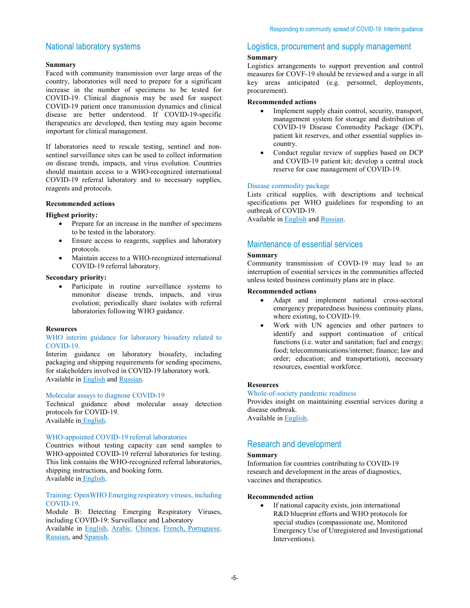# National laboratory systems

## Summary

Faced with community transmission over large areas of the country, laboratories will need to prepare for a significant increase in the number of specimens to be tested for COVID-19. Clinical diagnosis may be used for suspect COVID-19 patient once transmission dynamics and clinical disease are better understood. If COVID-19-specific therapeutics are developed, then testing may again become important for clinical management.

If laboratories need to rescale testing, sentinel and nonsentinel surveillance sites can be used to collect information on disease trends, impacts, and virus evolution. Countries should maintain access to a WHO-recognized international COVID-19 referral laboratory and to necessary supplies, reagents and protocols.

## Recommended actions

## Highest priority:

- Prepare for an increase in the number of specimens to be tested in the laboratory.
- Ensure access to reagents, supplies and laboratory protocols.
- Maintain access to a WHO-recognized international COVID-19 referral laboratory.

#### Secondary priority:

• Participate in routine surveillance systems to mmonitor disease trends, impacts, and virus evolution; periodically share isolates with referral laboratories following WHO guidance.

#### Resources

## WHO interim guidance for laboratory biosafety related to COVID-19.

Interim guidance on laboratory biosafety, including packaging and shipping requirements for sending specimens, for stakeholders involved in COVID-19 laboratory work. Available in English and Russian.

#### Molecular assays to diagnose COVID-19

Technical guidance about molecular assay detection protocols for COVID-19. Available in English.

#### WHO-appointed COVID-19 referral laboratories

Countries without testing capacity can send samples to WHO-appointed COVID-19 referral laboratories for testing. This link contains the WHO-recognized referral laboratories, shipping instructions, and booking form. Available in English.

## Training: OpenWHO Emerging respiratory viruses, including COVID-19.

Module B: Detecting Emerging Respiratory Viruses, including COVID-19: Surveillance and Laboratory Available in English, Arabic, Chinese, French, Portuguese, Russian, and Spanish.

## Logistics, procurement and supply management

## Summary

Logistics arrangements to support prevention and control measures for COVF-19 should be reviewed and a surge in all key areas anticipated (e.g. personnel, deployments, procurement).

## Recommended actions

- Implement supply chain control, security, transport, management system for storage and distribution of COVID-19 Disease Commodity Package (DCP), patient kit reserves, and other essential supplies incountry.
- Conduct regular review of supplies based on DCP and COVID-19 patient kit; develop a central stock reserve for case management of COVID-19.

## Disease commodity package

Lists critical supplies, with descriptions and technical specifications per WHO guidelines for responding to an outbreak of COVID-19.

Available in English and Russian.

## Maintenance of essential services

## Summary

Community transmission of COVD-19 may lead to an interruption of essential services in the communities affected unless tested business continuity plans are in place.

#### Recommended actions

- Adapt and implement national cross-sectoral emergency preparedness business continuity plans, where existing, to COVID-19.
- Work with UN agencies and other partners to identify and support continuation of critical functions (i.e. water and sanitation; fuel and energy; food; telecommunications/internet; finance; law and order; education; and transportation), necessary resources, essential workforce.

## **Resources**

## Whole-of-society pandemic readiness

Provides insight on maintaining essential services during a disease outbreak.

Available in English.

# Research and development

## Summary

Information for countries contributing to COVID-19 research and development in the areas of diagnostics, vaccines and therapeutics.

## Recommended action

 If national capacity exists, join international R&D blueprint efforts and WHO protocols for special studies (compassionate use, Monitored Emergency Use of Unregistered and Investigational Interventions).